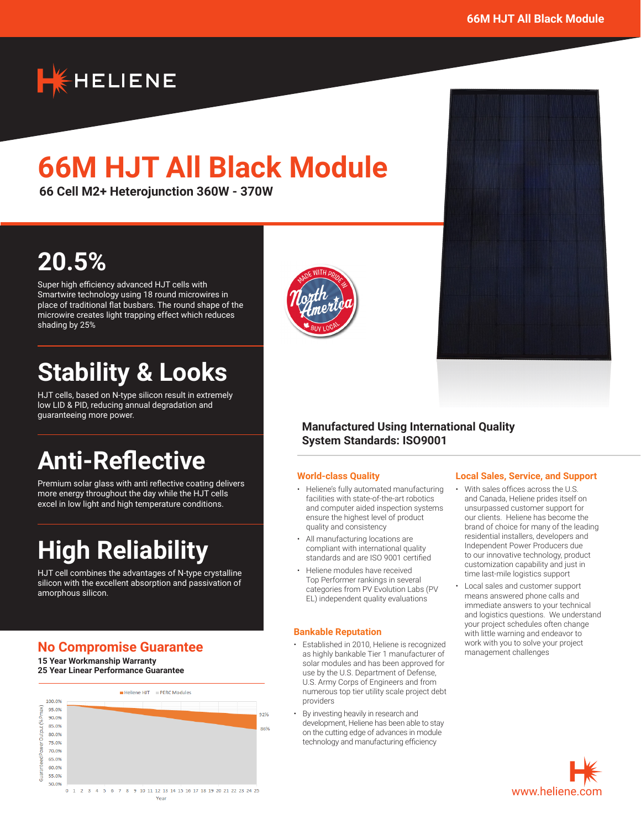

# **66M HJT All Black Module**

**66 Cell M2+ Heterojunction 360W - 370W**

## **20.5%**

Super high efficiency advanced HJT cells with Smartwire technology using 18 round microwires in place of traditional flat busbars. The round shape of the microwire creates light trapping effect which reduces shading by 25%

## **Stability & Looks**

HJT cells, based on N-type silicon result in extremely low LID & PID, reducing annual degradation and guaranteeing more power.

## **Anti-Reflective**

Premium solar glass with anti reflective coating delivers more energy throughout the day while the HJT cells excel in low light and high temperature conditions.

## **High Reliability**

HJT cell combines the advantages of N-type crystalline silicon with the excellent absorption and passivation of amorphous silicon.

## **No Compromise Guarantee**

**15 Year Workmanship Warranty 25 Year Linear Performance Guarantee**





### **Manufactured Using International Quality System Standards: ISO9001**

#### **World-class Quality**

- Heliene's fully automated manufacturing facilities with state-of-the-art robotics and computer aided inspection systems ensure the highest level of product quality and consistency
- All manufacturing locations are compliant with international quality standards and are ISO 9001 certified
- Heliene modules have received Top Performer rankings in several categories from PV Evolution Labs (PV EL) independent quality evaluations

#### **Bankable Reputation**

- Established in 2010, Heliene is recognized as highly bankable Tier 1 manufacturer of solar modules and has been approved for use by the U.S. Department of Defense, U.S. Army Corps of Engineers and from numerous top tier utility scale project debt providers
- By investing heavily in research and development, Heliene has been able to stay on the cutting edge of advances in module technology and manufacturing efficiency

#### **Local Sales, Service, and Support**

- With sales offices across the U.S. and Canada, Heliene prides itself on unsurpassed customer support for our clients. Heliene has become the brand of choice for many of the leading residential installers, developers and Independent Power Producers due to our innovative technology, product customization capability and just in time last-mile logistics support
- Local sales and customer support means answered phone calls and immediate answers to your technical and logistics questions. We understand your project schedules often change with little warning and endeavor to work with you to solve your project management challenges